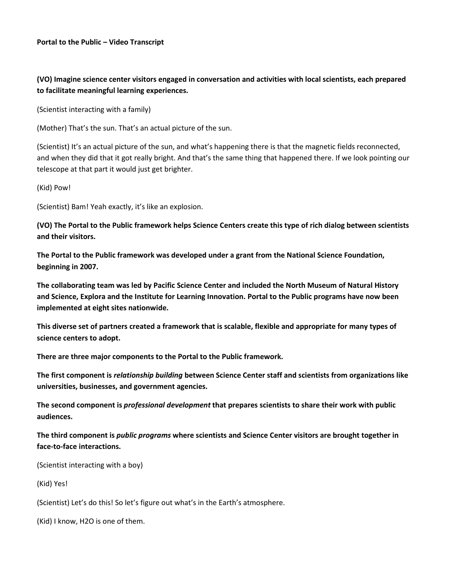## **(VO) Imagine science center visitors engaged in conversation and activities with local scientists, each prepared to facilitate meaningful learning experiences.**

(Scientist interacting with a family)

(Mother) That's the sun. That's an actual picture of the sun.

(Scientist) It's an actual picture of the sun, and what's happening there is that the magnetic fields reconnected, and when they did that it got really bright. And that's the same thing that happened there. If we look pointing our telescope at that part it would just get brighter.

(Kid) Pow!

(Scientist) Bam! Yeah exactly, it's like an explosion.

**(VO) The Portal to the Public framework helps Science Centers create this type of rich dialog between scientists and their visitors.**

**The Portal to the Public framework was developed under a grant from the National Science Foundation, beginning in 2007.**

**The collaborating team was led by Pacific Science Center and included the North Museum of Natural History and Science, Explora and the Institute for Learning Innovation. Portal to the Public programs have now been implemented at eight sites nationwide.**

**This diverse set of partners created a framework that is scalable, flexible and appropriate for many types of science centers to adopt.**

**There are three major components to the Portal to the Public framework.**

**The first component is** *relationship building* **between Science Center staff and scientists from organizations like universities, businesses, and government agencies.**

**The second component is** *professional development* **that prepares scientists to share their work with public audiences.**

**The third component is** *public programs* **where scientists and Science Center visitors are brought together in face-to-face interactions.**

(Scientist interacting with a boy)

(Kid) Yes!

(Scientist) Let's do this! So let's figure out what's in the Earth's atmosphere.

(Kid) I know, H2O is one of them.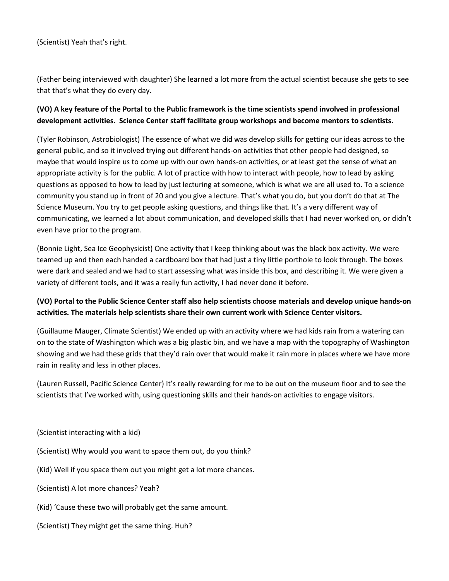(Scientist) Yeah that's right.

(Father being interviewed with daughter) She learned a lot more from the actual scientist because she gets to see that that's what they do every day.

## **(VO) A key feature of the Portal to the Public framework is the time scientists spend involved in professional development activities. Science Center staff facilitate group workshops and become mentors to scientists.**

(Tyler Robinson, Astrobiologist) The essence of what we did was develop skills for getting our ideas across to the general public, and so it involved trying out different hands-on activities that other people had designed, so maybe that would inspire us to come up with our own hands-on activities, or at least get the sense of what an appropriate activity is for the public. A lot of practice with how to interact with people, how to lead by asking questions as opposed to how to lead by just lecturing at someone, which is what we are all used to. To a science community you stand up in front of 20 and you give a lecture. That's what you do, but you don't do that at The Science Museum. You try to get people asking questions, and things like that. It's a very different way of communicating, we learned a lot about communication, and developed skills that I had never worked on, or didn't even have prior to the program.

(Bonnie Light, Sea Ice Geophysicist) One activity that I keep thinking about was the black box activity. We were teamed up and then each handed a cardboard box that had just a tiny little porthole to look through. The boxes were dark and sealed and we had to start assessing what was inside this box, and describing it. We were given a variety of different tools, and it was a really fun activity, I had never done it before.

## **(VO) Portal to the Public Science Center staff also help scientists choose materials and develop unique hands-on activities. The materials help scientists share their own current work with Science Center visitors.**

(Guillaume Mauger, Climate Scientist) We ended up with an activity where we had kids rain from a watering can on to the state of Washington which was a big plastic bin, and we have a map with the topography of Washington showing and we had these grids that they'd rain over that would make it rain more in places where we have more rain in reality and less in other places.

(Lauren Russell, Pacific Science Center) It's really rewarding for me to be out on the museum floor and to see the scientists that I've worked with, using questioning skills and their hands-on activities to engage visitors.

(Scientist interacting with a kid)

(Scientist) Why would you want to space them out, do you think?

(Kid) Well if you space them out you might get a lot more chances.

(Scientist) A lot more chances? Yeah?

(Kid) 'Cause these two will probably get the same amount.

(Scientist) They might get the same thing. Huh?